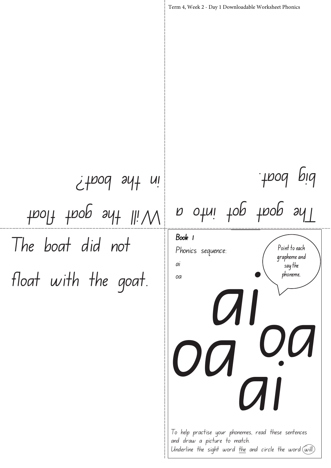The boat did not float with the goat. Point to each grapheme and  $\frac{1}{3}$  say the phoneme. Term 4, Week 2 - Day 1 Downloadable Worksheet Phonics Book 1 Phonics sequence: ai oa ai oa n goat goe into a big boat. Will the goat float in the boat? oa **CAI** 

To help practise your phonemes, read these sentences and draw a picture to match. Underline the sight word the and circle the word  $\overline{(\omega\text{i}!)}$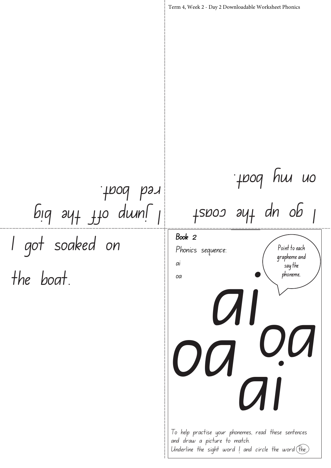I got soaked on the boat. Point to each grapheme and  $\frac{1}{3}$  say the phoneme. Term 4, Week 2 - Day 2 Downloadable Worksheet Phonics Book 2 Phonics sequence: ai oa ai oa  $15000$  ay $1$  dn ob  $1$ poq hu uo  $big$   $24 + 110$  duns red boat. oa **CAI** To help practise your phonemes, read these sentences and draw a picture to match. Underline the sight word  $l$  and circle the word  $(\overline{f}he)$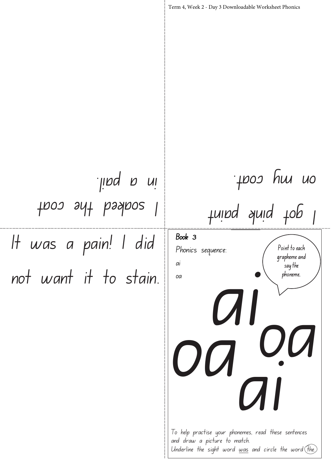It was a pain! I did not want it to stain. Point to each grapheme and  $\frac{1}{3}$  say the phoneme. Term 4, Week 2 - Day 3 Downloadable Worksheet Phonics Book 3 Phonics sequence: ai oa ai  $\overline{O}$ I got pink paint on my coat. oa **CAI** thos snt bashoe in a pail.

To help practise your phonemes, read these sentences and draw a picture to match. Underline the sight word  $\omega$ as and circle the word  $\widehat{f}$  the